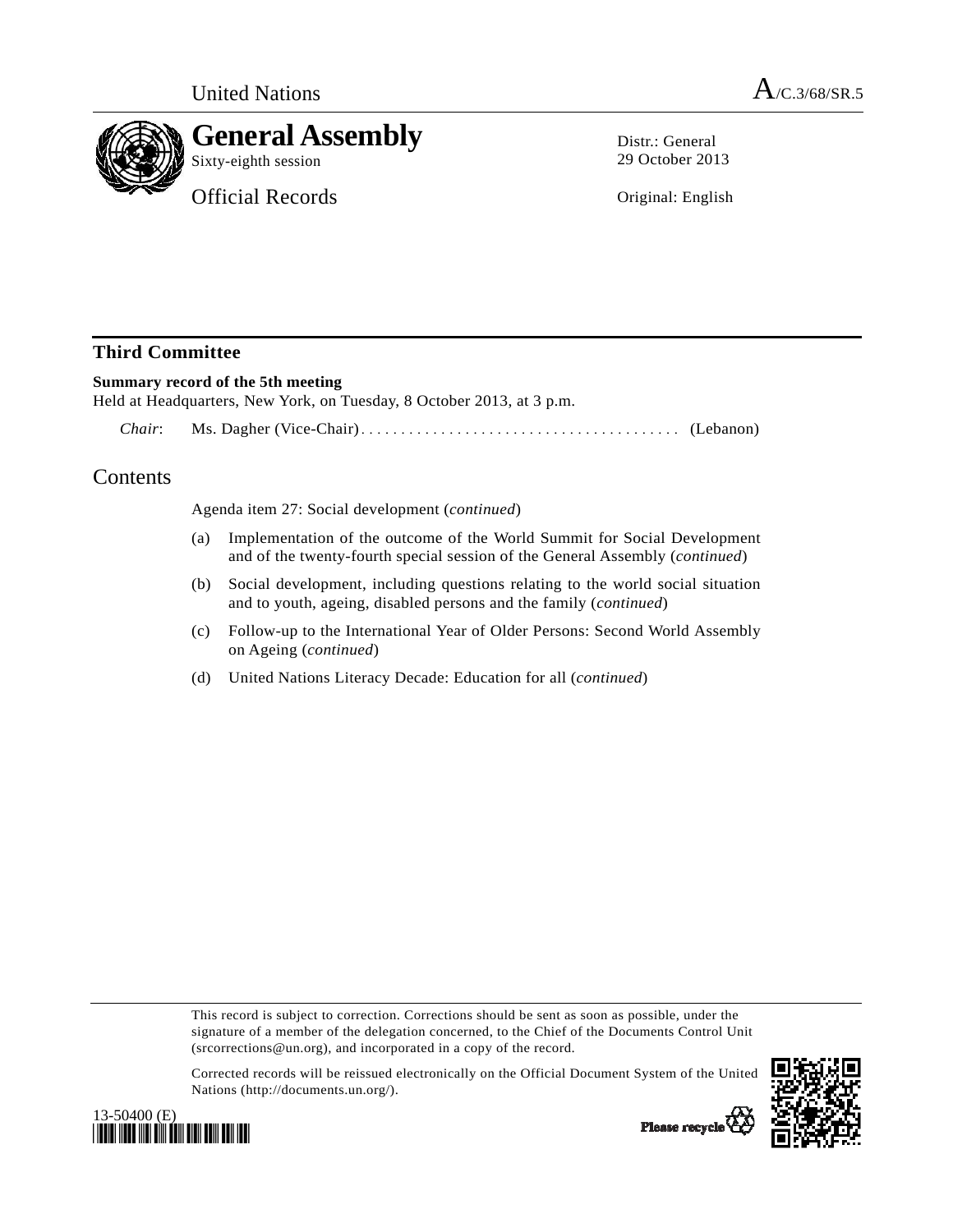

Distr.: General 29 October 2013

Original: English

## **Third Committee**

## **Summary record of the 5th meeting**

Held at Headquarters, New York, on Tuesday, 8 October 2013, at 3 p.m.

 *Chair*: Ms. Dagher (Vice-Chair)........................................ (Lebanon)

## Contents

Agenda item 27: Social development (*continued*)

- (a) Implementation of the outcome of the World Summit for Social Development and of the twenty-fourth special session of the General Assembly (*continued*)
- (b) Social development, including questions relating to the world social situation and to youth, ageing, disabled persons and the family (*continued*)
- (c) Follow-up to the International Year of Older Persons: Second World Assembly on Ageing (*continued*)
- (d) United Nations Literacy Decade: Education for all (*continued*)

This record is subject to correction. Corrections should be sent as soon as possible, under the signature of a member of the delegation concerned, to the Chief of the Documents Control Unit (srcorrections@un.org), and incorporated in a copy of the record.

Corrected records will be reissued electronically on the Official Document System of the United Nations (http://documents.un.org/).





Please recycle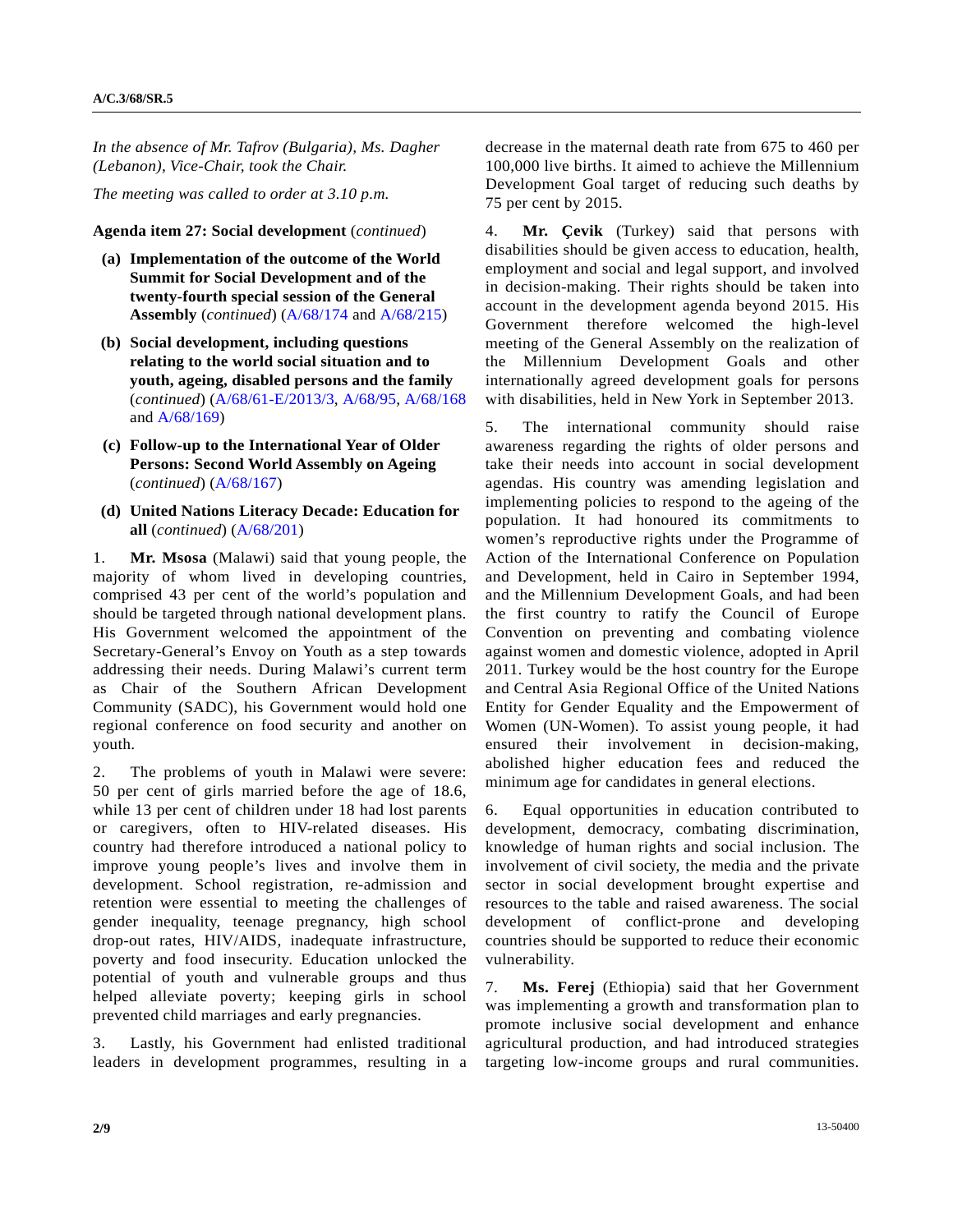*In the absence of Mr. Tafrov (Bulgaria), Ms. Dagher (Lebanon), Vice-Chair, took the Chair.* 

*The meeting was called to order at 3.10 p.m.* 

## **Agenda item 27: Social development** (*continued*)

- **(a) Implementation of the outcome of the World Summit for Social Development and of the twenty-fourth special session of the General Assembly** (*continued*) [\(A/68/174](http://undocs.org/A/68/174) and [A/68/215](http://undocs.org/A/68/215))
- **(b) Social development, including questions relating to the world social situation and to youth, ageing, disabled persons and the family**  (*continued*) [\(A/68/61-E/2013/3,](http://undocs.org/A/68/61) [A/68/95,](http://undocs.org/A/68/95) [A/68/168](http://undocs.org/A/68/168) and [A/68/169](http://undocs.org/A/68/169))
- **(c) Follow-up to the International Year of Older Persons: Second World Assembly on Ageing**  (*continued*) [\(A/68/167](http://undocs.org/A/68/167))
- **(d) United Nations Literacy Decade: Education for all** (*continued*) [\(A/68/201\)](http://undocs.org/A/68/201)

1. **Mr. Msosa** (Malawi) said that young people, the majority of whom lived in developing countries, comprised 43 per cent of the world's population and should be targeted through national development plans. His Government welcomed the appointment of the Secretary-General's Envoy on Youth as a step towards addressing their needs. During Malawi's current term as Chair of the Southern African Development Community (SADC), his Government would hold one regional conference on food security and another on youth.

2. The problems of youth in Malawi were severe: 50 per cent of girls married before the age of 18.6, while 13 per cent of children under 18 had lost parents or caregivers, often to HIV-related diseases. His country had therefore introduced a national policy to improve young people's lives and involve them in development. School registration, re-admission and retention were essential to meeting the challenges of gender inequality, teenage pregnancy, high school drop-out rates, HIV/AIDS, inadequate infrastructure, poverty and food insecurity. Education unlocked the potential of youth and vulnerable groups and thus helped alleviate poverty; keeping girls in school prevented child marriages and early pregnancies.

3. Lastly, his Government had enlisted traditional leaders in development programmes, resulting in a decrease in the maternal death rate from 675 to 460 per 100,000 live births. It aimed to achieve the Millennium Development Goal target of reducing such deaths by 75 per cent by 2015.

4. **Mr. Çevik** (Turkey) said that persons with disabilities should be given access to education, health, employment and social and legal support, and involved in decision-making. Their rights should be taken into account in the development agenda beyond 2015. His Government therefore welcomed the high-level meeting of the General Assembly on the realization of the Millennium Development Goals and other internationally agreed development goals for persons with disabilities, held in New York in September 2013.

5. The international community should raise awareness regarding the rights of older persons and take their needs into account in social development agendas. His country was amending legislation and implementing policies to respond to the ageing of the population. It had honoured its commitments to women's reproductive rights under the Programme of Action of the International Conference on Population and Development, held in Cairo in September 1994, and the Millennium Development Goals, and had been the first country to ratify the Council of Europe Convention on preventing and combating violence against women and domestic violence, adopted in April 2011. Turkey would be the host country for the Europe and Central Asia Regional Office of the United Nations Entity for Gender Equality and the Empowerment of Women (UN-Women). To assist young people, it had ensured their involvement in decision-making, abolished higher education fees and reduced the minimum age for candidates in general elections.

6. Equal opportunities in education contributed to development, democracy, combating discrimination, knowledge of human rights and social inclusion. The involvement of civil society, the media and the private sector in social development brought expertise and resources to the table and raised awareness. The social development of conflict-prone and developing countries should be supported to reduce their economic vulnerability.

7. **Ms. Ferej** (Ethiopia) said that her Government was implementing a growth and transformation plan to promote inclusive social development and enhance agricultural production, and had introduced strategies targeting low-income groups and rural communities.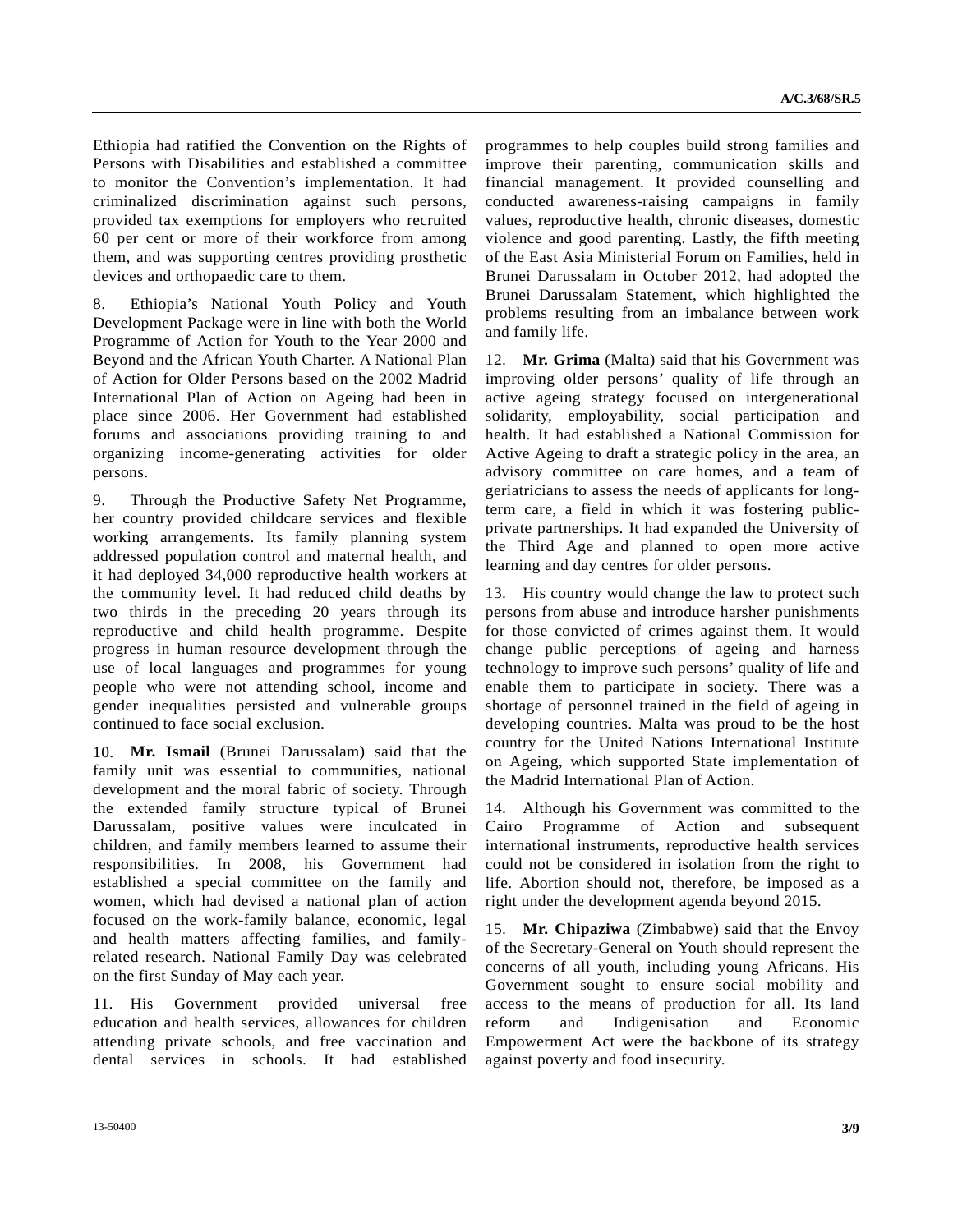Ethiopia had ratified the Convention on the Rights of Persons with Disabilities and established a committee to monitor the Convention's implementation. It had criminalized discrimination against such persons, provided tax exemptions for employers who recruited 60 per cent or more of their workforce from among them, and was supporting centres providing prosthetic devices and orthopaedic care to them.

8. Ethiopia's National Youth Policy and Youth Development Package were in line with both the World Programme of Action for Youth to the Year 2000 and Beyond and the African Youth Charter. A National Plan of Action for Older Persons based on the 2002 Madrid International Plan of Action on Ageing had been in place since 2006. Her Government had established forums and associations providing training to and organizing income-generating activities for older persons.

9. Through the Productive Safety Net Programme, her country provided childcare services and flexible working arrangements. Its family planning system addressed population control and maternal health, and it had deployed 34,000 reproductive health workers at the community level. It had reduced child deaths by two thirds in the preceding 20 years through its reproductive and child health programme. Despite progress in human resource development through the use of local languages and programmes for young people who were not attending school, income and gender inequalities persisted and vulnerable groups continued to face social exclusion.

10. **Mr. Ismail** (Brunei Darussalam) said that the family unit was essential to communities, national development and the moral fabric of society. Through the extended family structure typical of Brunei Darussalam, positive values were inculcated in children, and family members learned to assume their responsibilities. In 2008, his Government had established a special committee on the family and women, which had devised a national plan of action focused on the work-family balance, economic, legal and health matters affecting families, and familyrelated research. National Family Day was celebrated on the first Sunday of May each year.

11. His Government provided universal free education and health services, allowances for children attending private schools, and free vaccination and dental services in schools. It had established programmes to help couples build strong families and improve their parenting, communication skills and financial management. It provided counselling and conducted awareness-raising campaigns in family values, reproductive health, chronic diseases, domestic violence and good parenting. Lastly, the fifth meeting of the East Asia Ministerial Forum on Families, held in Brunei Darussalam in October 2012, had adopted the Brunei Darussalam Statement, which highlighted the problems resulting from an imbalance between work and family life.

12. **Mr. Grima** (Malta) said that his Government was improving older persons' quality of life through an active ageing strategy focused on intergenerational solidarity, employability, social participation and health. It had established a National Commission for Active Ageing to draft a strategic policy in the area, an advisory committee on care homes, and a team of geriatricians to assess the needs of applicants for longterm care, a field in which it was fostering publicprivate partnerships. It had expanded the University of the Third Age and planned to open more active learning and day centres for older persons.

13. His country would change the law to protect such persons from abuse and introduce harsher punishments for those convicted of crimes against them. It would change public perceptions of ageing and harness technology to improve such persons' quality of life and enable them to participate in society. There was a shortage of personnel trained in the field of ageing in developing countries. Malta was proud to be the host country for the United Nations International Institute on Ageing, which supported State implementation of the Madrid International Plan of Action.

14. Although his Government was committed to the Cairo Programme of Action and subsequent international instruments, reproductive health services could not be considered in isolation from the right to life. Abortion should not, therefore, be imposed as a right under the development agenda beyond 2015.

15. **Mr. Chipaziwa** (Zimbabwe) said that the Envoy of the Secretary-General on Youth should represent the concerns of all youth, including young Africans. His Government sought to ensure social mobility and access to the means of production for all. Its land reform and Indigenisation and Economic Empowerment Act were the backbone of its strategy against poverty and food insecurity.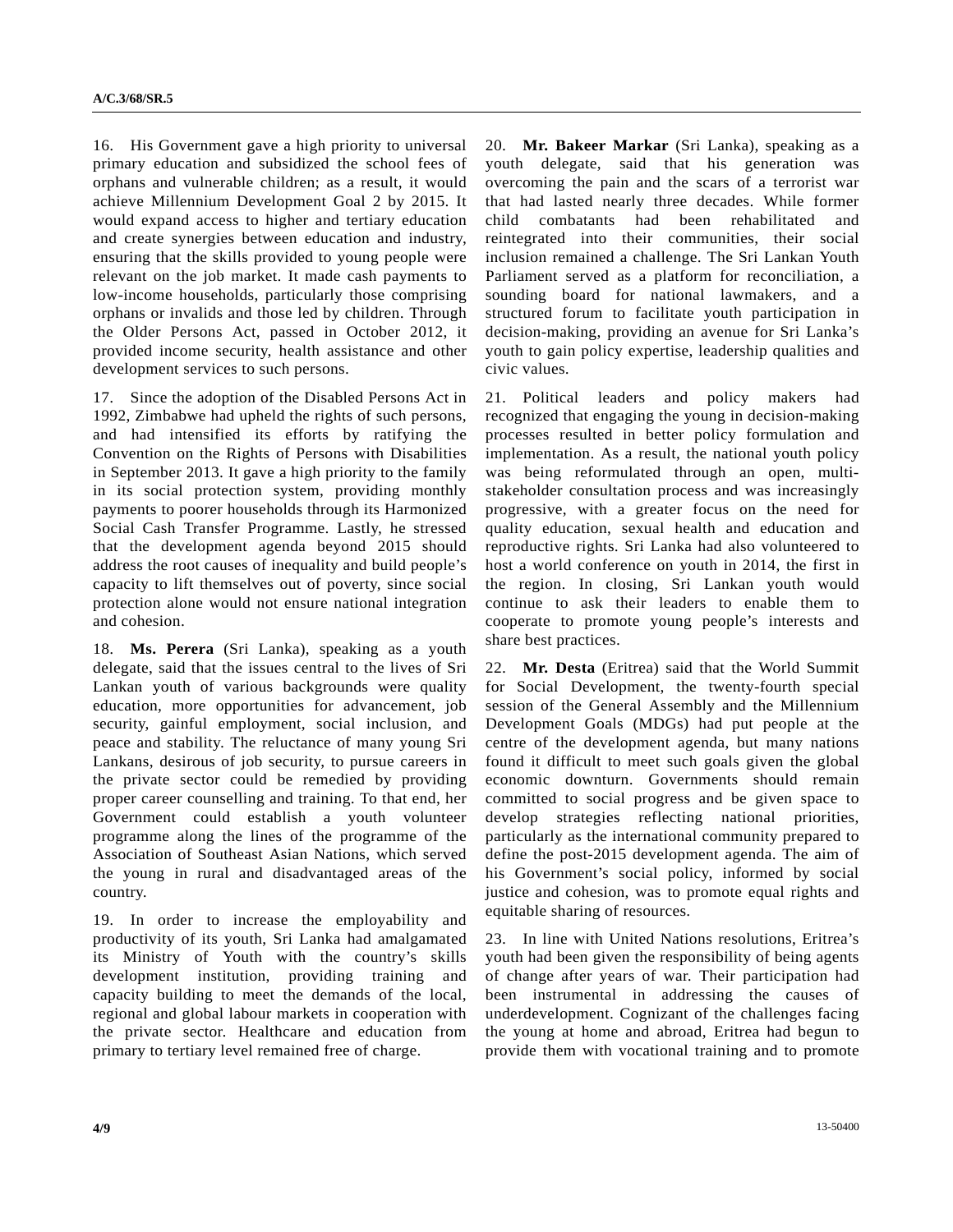16. His Government gave a high priority to universal primary education and subsidized the school fees of orphans and vulnerable children; as a result, it would achieve Millennium Development Goal 2 by 2015. It would expand access to higher and tertiary education and create synergies between education and industry, ensuring that the skills provided to young people were relevant on the job market. It made cash payments to low-income households, particularly those comprising orphans or invalids and those led by children. Through the Older Persons Act, passed in October 2012, it provided income security, health assistance and other development services to such persons.

17. Since the adoption of the Disabled Persons Act in 1992, Zimbabwe had upheld the rights of such persons, and had intensified its efforts by ratifying the Convention on the Rights of Persons with Disabilities in September 2013. It gave a high priority to the family in its social protection system, providing monthly payments to poorer households through its Harmonized Social Cash Transfer Programme. Lastly, he stressed that the development agenda beyond 2015 should address the root causes of inequality and build people's capacity to lift themselves out of poverty, since social protection alone would not ensure national integration and cohesion.

18. **Ms. Perera** (Sri Lanka), speaking as a youth delegate, said that the issues central to the lives of Sri Lankan youth of various backgrounds were quality education, more opportunities for advancement, job security, gainful employment, social inclusion, and peace and stability. The reluctance of many young Sri Lankans, desirous of job security, to pursue careers in the private sector could be remedied by providing proper career counselling and training. To that end, her Government could establish a youth volunteer programme along the lines of the programme of the Association of Southeast Asian Nations, which served the young in rural and disadvantaged areas of the country.

19. In order to increase the employability and productivity of its youth, Sri Lanka had amalgamated its Ministry of Youth with the country's skills development institution, providing training and capacity building to meet the demands of the local, regional and global labour markets in cooperation with the private sector. Healthcare and education from primary to tertiary level remained free of charge.

20. **Mr. Bakeer Markar** (Sri Lanka), speaking as a youth delegate, said that his generation was overcoming the pain and the scars of a terrorist war that had lasted nearly three decades. While former child combatants had been rehabilitated and reintegrated into their communities, their social inclusion remained a challenge. The Sri Lankan Youth Parliament served as a platform for reconciliation, a sounding board for national lawmakers, and a structured forum to facilitate youth participation in decision-making, providing an avenue for Sri Lanka's youth to gain policy expertise, leadership qualities and civic values.

21. Political leaders and policy makers had recognized that engaging the young in decision-making processes resulted in better policy formulation and implementation. As a result, the national youth policy was being reformulated through an open, multistakeholder consultation process and was increasingly progressive, with a greater focus on the need for quality education, sexual health and education and reproductive rights. Sri Lanka had also volunteered to host a world conference on youth in 2014, the first in the region. In closing, Sri Lankan youth would continue to ask their leaders to enable them to cooperate to promote young people's interests and share best practices.

22. **Mr. Desta** (Eritrea) said that the World Summit for Social Development, the twenty-fourth special session of the General Assembly and the Millennium Development Goals (MDGs) had put people at the centre of the development agenda, but many nations found it difficult to meet such goals given the global economic downturn. Governments should remain committed to social progress and be given space to develop strategies reflecting national priorities, particularly as the international community prepared to define the post-2015 development agenda. The aim of his Government's social policy, informed by social justice and cohesion, was to promote equal rights and equitable sharing of resources.

23. In line with United Nations resolutions, Eritrea's youth had been given the responsibility of being agents of change after years of war. Their participation had been instrumental in addressing the causes of underdevelopment. Cognizant of the challenges facing the young at home and abroad, Eritrea had begun to provide them with vocational training and to promote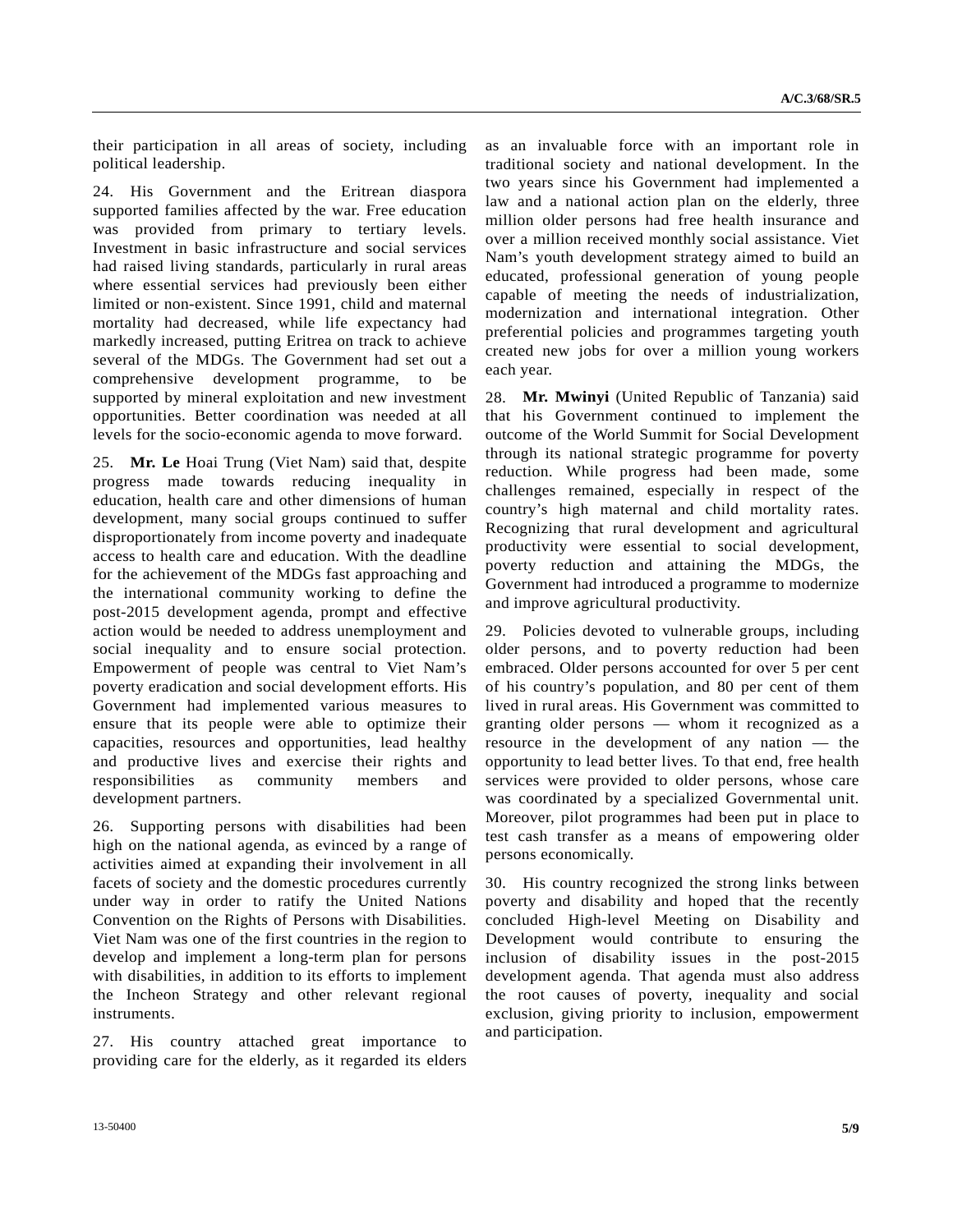their participation in all areas of society, including political leadership.

24. His Government and the Eritrean diaspora supported families affected by the war. Free education was provided from primary to tertiary levels. Investment in basic infrastructure and social services had raised living standards, particularly in rural areas where essential services had previously been either limited or non-existent. Since 1991, child and maternal mortality had decreased, while life expectancy had markedly increased, putting Eritrea on track to achieve several of the MDGs. The Government had set out a comprehensive development programme, to be supported by mineral exploitation and new investment opportunities. Better coordination was needed at all levels for the socio-economic agenda to move forward.

25. **Mr. Le** Hoai Trung (Viet Nam) said that, despite progress made towards reducing inequality in education, health care and other dimensions of human development, many social groups continued to suffer disproportionately from income poverty and inadequate access to health care and education. With the deadline for the achievement of the MDGs fast approaching and the international community working to define the post-2015 development agenda, prompt and effective action would be needed to address unemployment and social inequality and to ensure social protection. Empowerment of people was central to Viet Nam's poverty eradication and social development efforts. His Government had implemented various measures to ensure that its people were able to optimize their capacities, resources and opportunities, lead healthy and productive lives and exercise their rights and responsibilities as community members and development partners.

26. Supporting persons with disabilities had been high on the national agenda, as evinced by a range of activities aimed at expanding their involvement in all facets of society and the domestic procedures currently under way in order to ratify the United Nations Convention on the Rights of Persons with Disabilities. Viet Nam was one of the first countries in the region to develop and implement a long-term plan for persons with disabilities, in addition to its efforts to implement the Incheon Strategy and other relevant regional instruments.

27. His country attached great importance to providing care for the elderly, as it regarded its elders as an invaluable force with an important role in traditional society and national development. In the two years since his Government had implemented a law and a national action plan on the elderly, three million older persons had free health insurance and over a million received monthly social assistance. Viet Nam's youth development strategy aimed to build an educated, professional generation of young people capable of meeting the needs of industrialization, modernization and international integration. Other preferential policies and programmes targeting youth created new jobs for over a million young workers each year.

28. **Mr. Mwinyi** (United Republic of Tanzania) said that his Government continued to implement the outcome of the World Summit for Social Development through its national strategic programme for poverty reduction. While progress had been made, some challenges remained, especially in respect of the country's high maternal and child mortality rates. Recognizing that rural development and agricultural productivity were essential to social development, poverty reduction and attaining the MDGs, the Government had introduced a programme to modernize and improve agricultural productivity.

29. Policies devoted to vulnerable groups, including older persons, and to poverty reduction had been embraced. Older persons accounted for over 5 per cent of his country's population, and 80 per cent of them lived in rural areas. His Government was committed to granting older persons — whom it recognized as a resource in the development of any nation — the opportunity to lead better lives. To that end, free health services were provided to older persons, whose care was coordinated by a specialized Governmental unit. Moreover, pilot programmes had been put in place to test cash transfer as a means of empowering older persons economically.

30. His country recognized the strong links between poverty and disability and hoped that the recently concluded High-level Meeting on Disability and Development would contribute to ensuring the inclusion of disability issues in the post-2015 development agenda. That agenda must also address the root causes of poverty, inequality and social exclusion, giving priority to inclusion, empowerment and participation.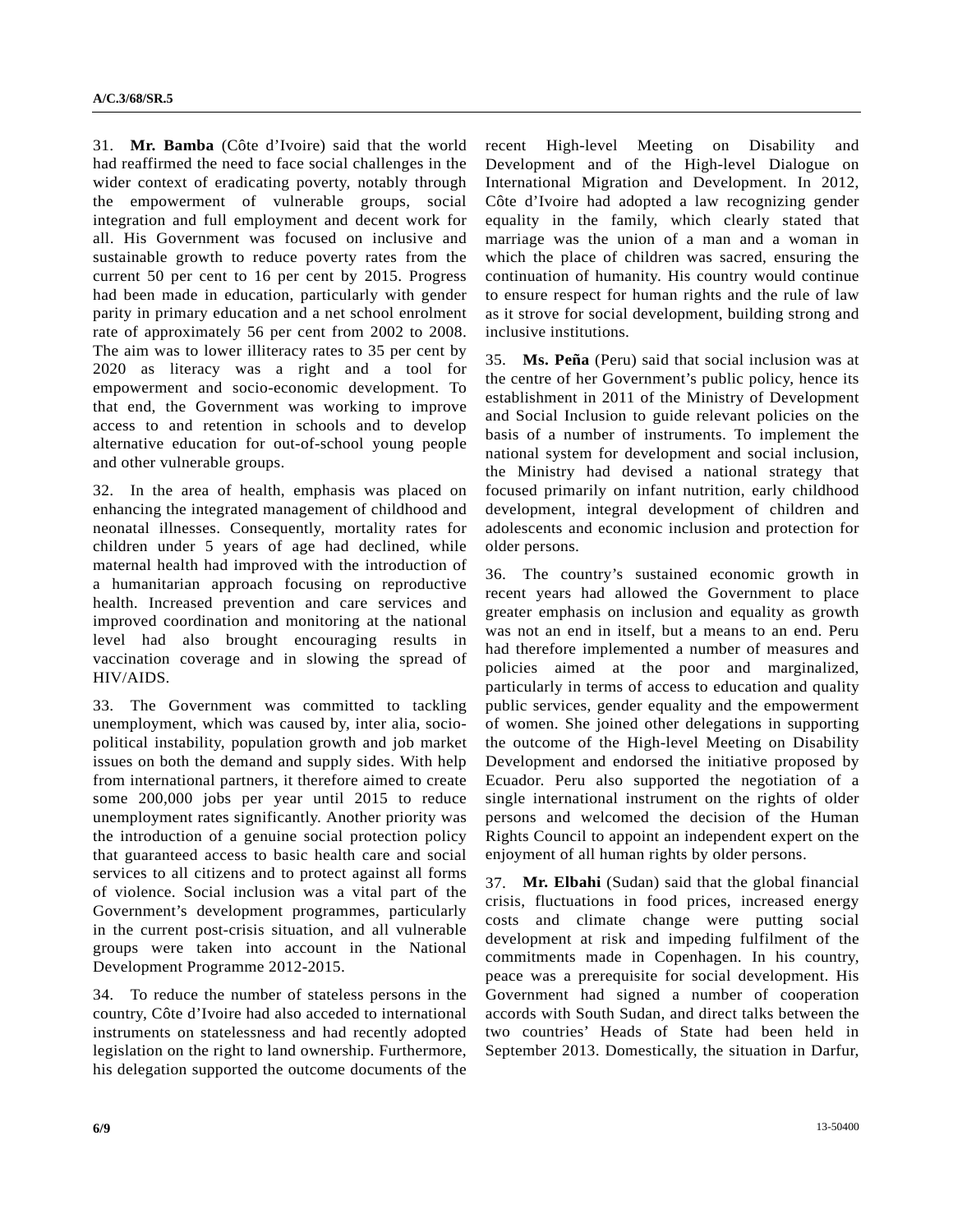31. **Mr. Bamba** (Côte d'Ivoire) said that the world had reaffirmed the need to face social challenges in the wider context of eradicating poverty, notably through the empowerment of vulnerable groups, social integration and full employment and decent work for all. His Government was focused on inclusive and sustainable growth to reduce poverty rates from the current 50 per cent to 16 per cent by 2015. Progress had been made in education, particularly with gender parity in primary education and a net school enrolment rate of approximately 56 per cent from 2002 to 2008. The aim was to lower illiteracy rates to 35 per cent by 2020 as literacy was a right and a tool for empowerment and socio-economic development. To that end, the Government was working to improve access to and retention in schools and to develop alternative education for out-of-school young people and other vulnerable groups.

32. In the area of health, emphasis was placed on enhancing the integrated management of childhood and neonatal illnesses. Consequently, mortality rates for children under 5 years of age had declined, while maternal health had improved with the introduction of a humanitarian approach focusing on reproductive health. Increased prevention and care services and improved coordination and monitoring at the national level had also brought encouraging results in vaccination coverage and in slowing the spread of HIV/AIDS.

33. The Government was committed to tackling unemployment, which was caused by, inter alia, sociopolitical instability, population growth and job market issues on both the demand and supply sides. With help from international partners, it therefore aimed to create some 200,000 jobs per year until 2015 to reduce unemployment rates significantly. Another priority was the introduction of a genuine social protection policy that guaranteed access to basic health care and social services to all citizens and to protect against all forms of violence. Social inclusion was a vital part of the Government's development programmes, particularly in the current post-crisis situation, and all vulnerable groups were taken into account in the National Development Programme 2012-2015.

34. To reduce the number of stateless persons in the country, Côte d'Ivoire had also acceded to international instruments on statelessness and had recently adopted legislation on the right to land ownership. Furthermore, his delegation supported the outcome documents of the recent High-level Meeting on Disability and Development and of the High-level Dialogue on International Migration and Development. In 2012, Côte d'Ivoire had adopted a law recognizing gender equality in the family, which clearly stated that marriage was the union of a man and a woman in which the place of children was sacred, ensuring the continuation of humanity. His country would continue to ensure respect for human rights and the rule of law as it strove for social development, building strong and inclusive institutions.

35. **Ms. Peña** (Peru) said that social inclusion was at the centre of her Government's public policy, hence its establishment in 2011 of the Ministry of Development and Social Inclusion to guide relevant policies on the basis of a number of instruments. To implement the national system for development and social inclusion, the Ministry had devised a national strategy that focused primarily on infant nutrition, early childhood development, integral development of children and adolescents and economic inclusion and protection for older persons.

36. The country's sustained economic growth in recent years had allowed the Government to place greater emphasis on inclusion and equality as growth was not an end in itself, but a means to an end. Peru had therefore implemented a number of measures and policies aimed at the poor and marginalized, particularly in terms of access to education and quality public services, gender equality and the empowerment of women. She joined other delegations in supporting the outcome of the High-level Meeting on Disability Development and endorsed the initiative proposed by Ecuador. Peru also supported the negotiation of a single international instrument on the rights of older persons and welcomed the decision of the Human Rights Council to appoint an independent expert on the enjoyment of all human rights by older persons.

37. **Mr. Elbahi** (Sudan) said that the global financial crisis, fluctuations in food prices, increased energy costs and climate change were putting social development at risk and impeding fulfilment of the commitments made in Copenhagen. In his country, peace was a prerequisite for social development. His Government had signed a number of cooperation accords with South Sudan, and direct talks between the two countries' Heads of State had been held in September 2013. Domestically, the situation in Darfur,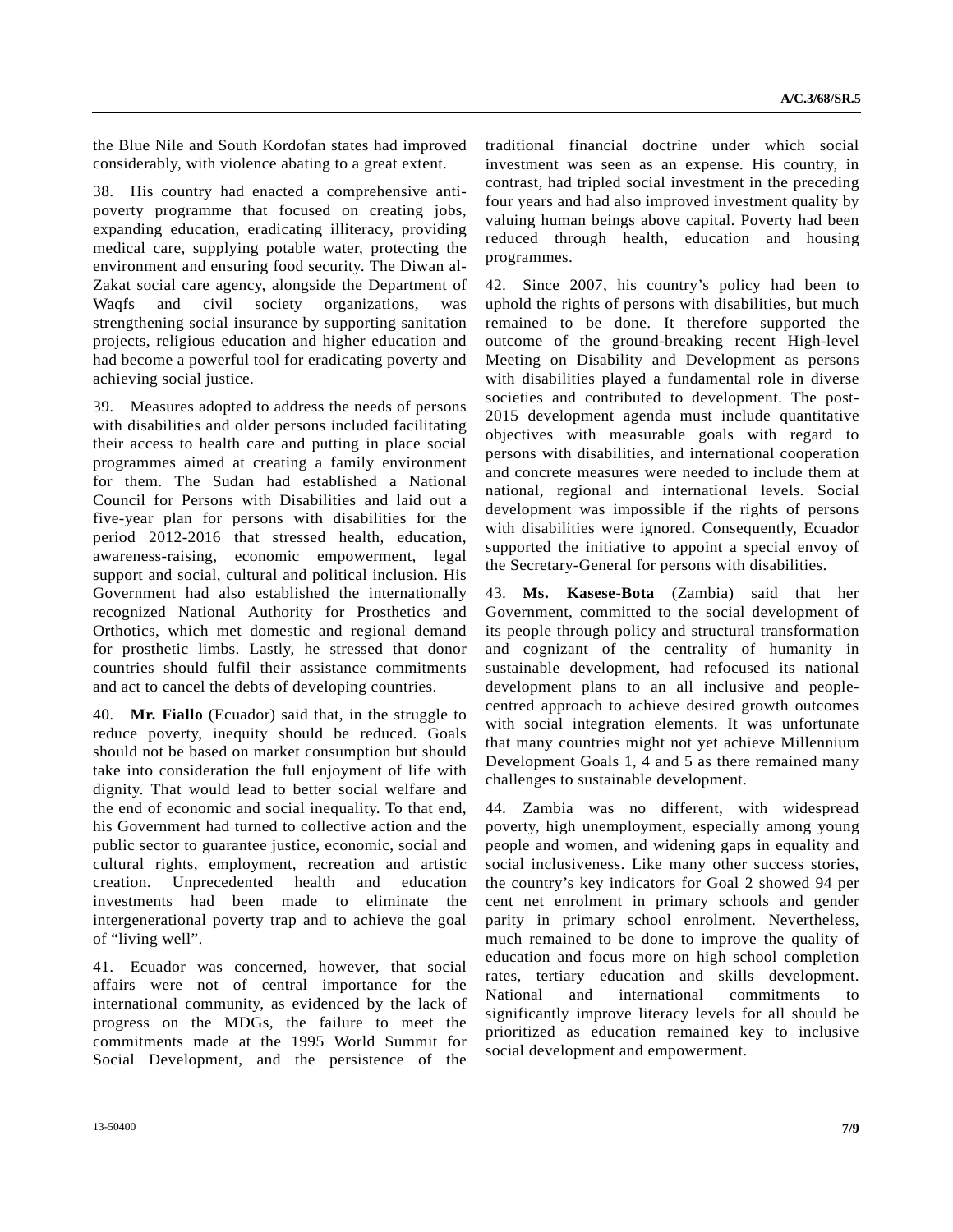the Blue Nile and South Kordofan states had improved considerably, with violence abating to a great extent.

38. His country had enacted a comprehensive antipoverty programme that focused on creating jobs, expanding education, eradicating illiteracy, providing medical care, supplying potable water, protecting the environment and ensuring food security. The Diwan al-Zakat social care agency, alongside the Department of Waqfs and civil society organizations, was strengthening social insurance by supporting sanitation projects, religious education and higher education and had become a powerful tool for eradicating poverty and achieving social justice.

39. Measures adopted to address the needs of persons with disabilities and older persons included facilitating their access to health care and putting in place social programmes aimed at creating a family environment for them. The Sudan had established a National Council for Persons with Disabilities and laid out a five-year plan for persons with disabilities for the period 2012-2016 that stressed health, education, awareness-raising, economic empowerment, legal support and social, cultural and political inclusion. His Government had also established the internationally recognized National Authority for Prosthetics and Orthotics, which met domestic and regional demand for prosthetic limbs. Lastly, he stressed that donor countries should fulfil their assistance commitments and act to cancel the debts of developing countries.

40. **Mr. Fiallo** (Ecuador) said that, in the struggle to reduce poverty, inequity should be reduced. Goals should not be based on market consumption but should take into consideration the full enjoyment of life with dignity. That would lead to better social welfare and the end of economic and social inequality. To that end, his Government had turned to collective action and the public sector to guarantee justice, economic, social and cultural rights, employment, recreation and artistic creation. Unprecedented health and education investments had been made to eliminate the intergenerational poverty trap and to achieve the goal of "living well".

41. Ecuador was concerned, however, that social affairs were not of central importance for the international community, as evidenced by the lack of progress on the MDGs, the failure to meet the commitments made at the 1995 World Summit for Social Development, and the persistence of the

traditional financial doctrine under which social investment was seen as an expense. His country, in contrast, had tripled social investment in the preceding four years and had also improved investment quality by valuing human beings above capital. Poverty had been reduced through health, education and housing programmes.

42. Since 2007, his country's policy had been to uphold the rights of persons with disabilities, but much remained to be done. It therefore supported the outcome of the ground-breaking recent High-level Meeting on Disability and Development as persons with disabilities played a fundamental role in diverse societies and contributed to development. The post-2015 development agenda must include quantitative objectives with measurable goals with regard to persons with disabilities, and international cooperation and concrete measures were needed to include them at national, regional and international levels. Social development was impossible if the rights of persons with disabilities were ignored. Consequently, Ecuador supported the initiative to appoint a special envoy of the Secretary-General for persons with disabilities.

43. **Ms. Kasese-Bota** (Zambia) said that her Government, committed to the social development of its people through policy and structural transformation and cognizant of the centrality of humanity in sustainable development, had refocused its national development plans to an all inclusive and peoplecentred approach to achieve desired growth outcomes with social integration elements. It was unfortunate that many countries might not yet achieve Millennium Development Goals 1, 4 and 5 as there remained many challenges to sustainable development.

44. Zambia was no different, with widespread poverty, high unemployment, especially among young people and women, and widening gaps in equality and social inclusiveness. Like many other success stories, the country's key indicators for Goal 2 showed 94 per cent net enrolment in primary schools and gender parity in primary school enrolment. Nevertheless, much remained to be done to improve the quality of education and focus more on high school completion rates, tertiary education and skills development. National and international commitments to significantly improve literacy levels for all should be prioritized as education remained key to inclusive social development and empowerment.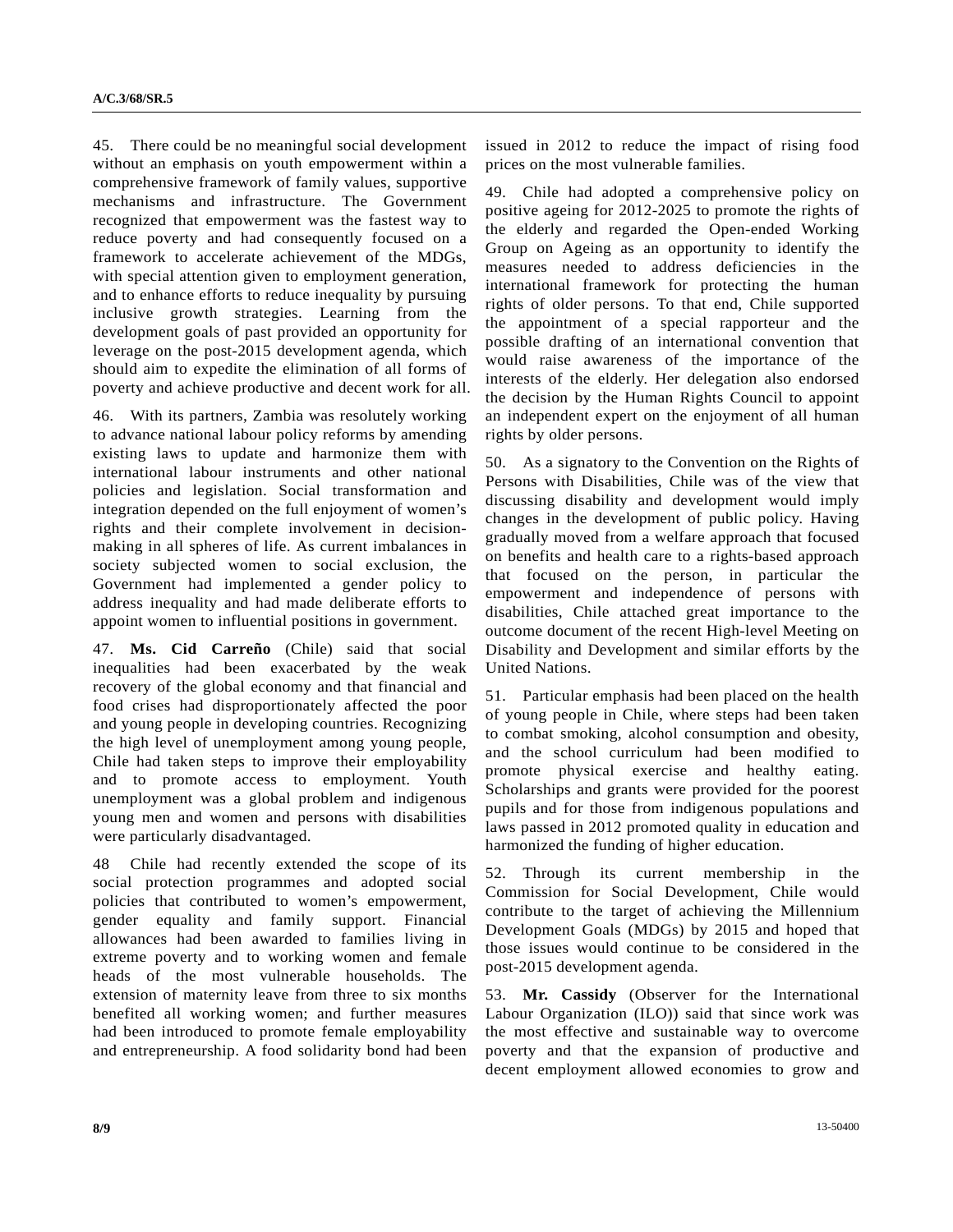45. There could be no meaningful social development without an emphasis on youth empowerment within a comprehensive framework of family values, supportive mechanisms and infrastructure. The Government recognized that empowerment was the fastest way to reduce poverty and had consequently focused on a framework to accelerate achievement of the MDGs, with special attention given to employment generation, and to enhance efforts to reduce inequality by pursuing inclusive growth strategies. Learning from the development goals of past provided an opportunity for leverage on the post-2015 development agenda, which should aim to expedite the elimination of all forms of poverty and achieve productive and decent work for all.

46. With its partners, Zambia was resolutely working to advance national labour policy reforms by amending existing laws to update and harmonize them with international labour instruments and other national policies and legislation. Social transformation and integration depended on the full enjoyment of women's rights and their complete involvement in decisionmaking in all spheres of life. As current imbalances in society subjected women to social exclusion, the Government had implemented a gender policy to address inequality and had made deliberate efforts to appoint women to influential positions in government.

47. **Ms. Cid Carreño** (Chile) said that social inequalities had been exacerbated by the weak recovery of the global economy and that financial and food crises had disproportionately affected the poor and young people in developing countries. Recognizing the high level of unemployment among young people, Chile had taken steps to improve their employability and to promote access to employment. Youth unemployment was a global problem and indigenous young men and women and persons with disabilities were particularly disadvantaged.

48 Chile had recently extended the scope of its social protection programmes and adopted social policies that contributed to women's empowerment, gender equality and family support. Financial allowances had been awarded to families living in extreme poverty and to working women and female heads of the most vulnerable households. The extension of maternity leave from three to six months benefited all working women; and further measures had been introduced to promote female employability and entrepreneurship. A food solidarity bond had been issued in 2012 to reduce the impact of rising food prices on the most vulnerable families.

49. Chile had adopted a comprehensive policy on positive ageing for 2012-2025 to promote the rights of the elderly and regarded the Open-ended Working Group on Ageing as an opportunity to identify the measures needed to address deficiencies in the international framework for protecting the human rights of older persons. To that end, Chile supported the appointment of a special rapporteur and the possible drafting of an international convention that would raise awareness of the importance of the interests of the elderly. Her delegation also endorsed the decision by the Human Rights Council to appoint an independent expert on the enjoyment of all human rights by older persons.

50. As a signatory to the Convention on the Rights of Persons with Disabilities, Chile was of the view that discussing disability and development would imply changes in the development of public policy. Having gradually moved from a welfare approach that focused on benefits and health care to a rights-based approach that focused on the person, in particular the empowerment and independence of persons with disabilities, Chile attached great importance to the outcome document of the recent High-level Meeting on Disability and Development and similar efforts by the United Nations.

51. Particular emphasis had been placed on the health of young people in Chile, where steps had been taken to combat smoking, alcohol consumption and obesity, and the school curriculum had been modified to promote physical exercise and healthy eating. Scholarships and grants were provided for the poorest pupils and for those from indigenous populations and laws passed in 2012 promoted quality in education and harmonized the funding of higher education.

52. Through its current membership in the Commission for Social Development, Chile would contribute to the target of achieving the Millennium Development Goals (MDGs) by 2015 and hoped that those issues would continue to be considered in the post-2015 development agenda.

53. **Mr. Cassidy** (Observer for the International Labour Organization (ILO)) said that since work was the most effective and sustainable way to overcome poverty and that the expansion of productive and decent employment allowed economies to grow and